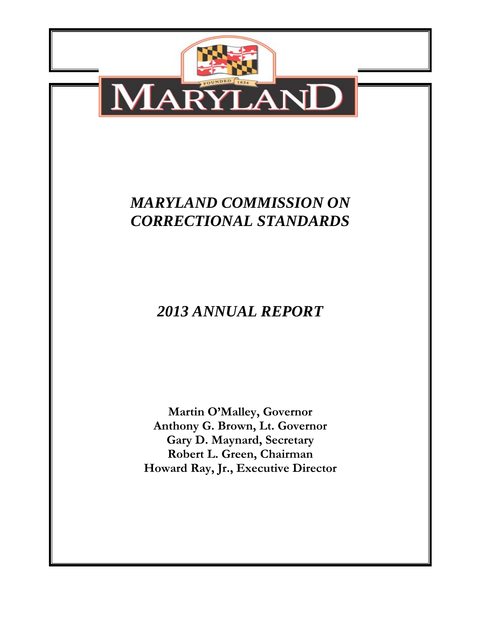

**Robert L. Green, Chairman Howard Ray, Jr., Executive Director**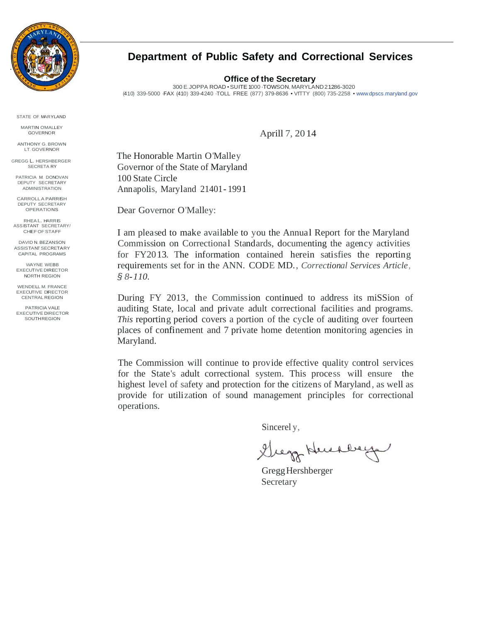

STATE OF MARYLAND

MARTIN O'MALLEY GOVERNOR

ANTHONY G. BROWN LT. GOVERNOR

GREGG L. HERSHBERGER SECRETA RY

PATRICIA M. DONOVAN DEPUTY SECRETARY ADMINISTRATION

CARROLL A PARRISH DEPUTY SECRETARY OPERATIONS

RHEA L. HARR IS ASS ISTANT SECRETARY/ CHIEF OF STAFF

DAVID N. BEZANSON ASSISTA NT SECRETA RY CAPITAL PROGRAMS

WAYNE WEBB EXECUT IVE DIRECTOR NORTH REGION

WENDELL M. FRANCE EXECUTIVE DIRECTOR CENTRAL REGION

PATRICIA VALE EXECUTIVE DIRECTOR **SOUTH REGION** 

### **Department of Public Safety and Correctional Services**

**Office of the Secretary**

300 E. JOPPA ROAD • SUITE 1000 ·TOWSON, MARYLAND 21286-3020 (410) 339-5000 ·FAX (410) 339-4240 ·TOLL FREE (877) 379-8636 • VfTTY (800) 735-2258 • www.dpscs .maryland.gov

Aprill 7, 20 14

The Honorable Martin O'Malley Governor of the State of Maryland 100 State Circle Annapolis, Maryland 21401- 1991

Dear Governor O'Malley:

I am pleased to make available to you the Annual Report for the Maryland Commission on Correctional Standards, documenting the agency activities for FY20 13. The information contained herein satisfies the reporting requirements set for in the ANN. CODE MD., *Correctional Services Article, § 8-110.*

During FY 2013, the Commission continued to address its miSSion of auditing State, local and private adult correctional facilities and programs. *This* reporting period covers a portion of the cycle of auditing over fourteen places of confinement and 7 private home detention monitoring agencies in Maryland.

The Commission will continue to provide effective quality control services for the State's adult correctional system. This process will ensure the highest level of safety and protection for the citizens of Maryland , as well as provide for utilization of sound management principles for correctional operations.

Sincerel y,

Grego Huchberg

Gregg Hershberger Secretary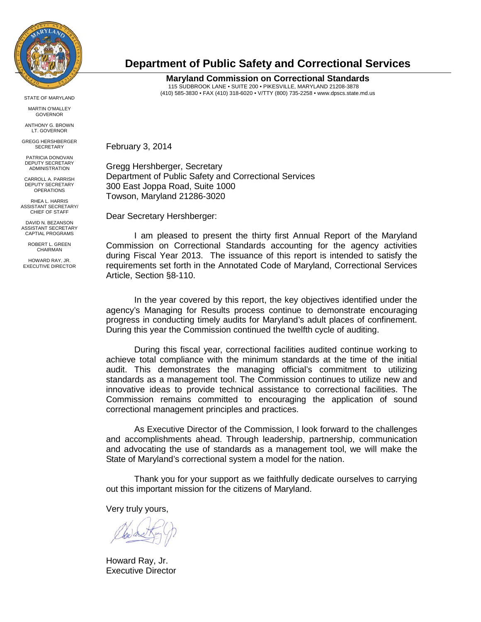

STATE OF MARYLAND

MARTIN O'MALLEY GOVERNOR

ANTHONY G. BROWN LT. GOVERNOR

GREGG HERSHBERGER **SECRETARY** 

PATRICIA DONOVAN DEPUTY SECRETARY ADMINISTRATION

CARROLL A. PARRISH DEPUTY SECRETARY OPERATIONS

RHEA L. HARRIS ASSISTANT SECRETARY/ CHIEF OF STAFF

DAVID N. BEZANSON ASSISTANT SECRETARY CAPTIAL PROGRAMS

> ROBERT L. GREEN **CHAIRMAN**

HOWARD RAY, JR. EXECUTIVE DIRECTOR

### **Department of Public Safety and Correctional Services**

**Maryland Commission on Correctional Standards**  115 SUDBROOK LANE • SUITE 200 • PIKESVILLE, MARYLAND 21208-3878 (410) 585-3830 • FAX (410) 318-6020 • V/TTY (800) 735-2258 • www.dpscs.state.md.us

February 3, 2014

Gregg Hershberger, Secretary Department of Public Safety and Correctional Services 300 East Joppa Road, Suite 1000 Towson, Maryland 21286-3020

Dear Secretary Hershberger:

 I am pleased to present the thirty first Annual Report of the Maryland Commission on Correctional Standards accounting for the agency activities during Fiscal Year 2013. The issuance of this report is intended to satisfy the requirements set forth in the Annotated Code of Maryland, Correctional Services Article, Section §8-110.

 In the year covered by this report, the key objectives identified under the agency's Managing for Results process continue to demonstrate encouraging progress in conducting timely audits for Maryland's adult places of confinement. During this year the Commission continued the twelfth cycle of auditing.

 During this fiscal year, correctional facilities audited continue working to achieve total compliance with the minimum standards at the time of the initial audit. This demonstrates the managing official's commitment to utilizing standards as a management tool. The Commission continues to utilize new and innovative ideas to provide technical assistance to correctional facilities. The Commission remains committed to encouraging the application of sound correctional management principles and practices.

 As Executive Director of the Commission, I look forward to the challenges and accomplishments ahead. Through leadership, partnership, communication and advocating the use of standards as a management tool, we will make the State of Maryland's correctional system a model for the nation.

 Thank you for your support as we faithfully dedicate ourselves to carrying out this important mission for the citizens of Maryland.

Very truly yours,

Howard Ray, Jr. Executive Director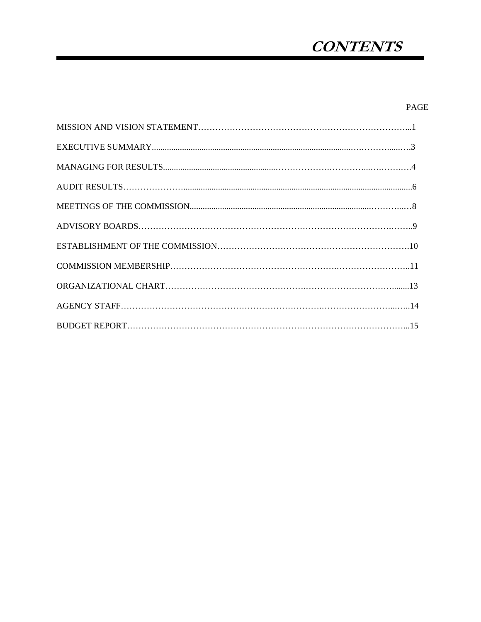## **CONTENTS**

#### PAGE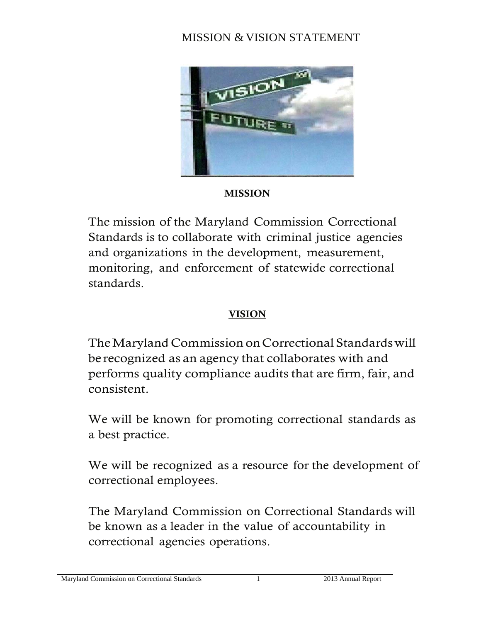## MISSION & VISION STATEMENT



## **MISSION**

The mission of the Maryland Commission Correctional Standards is to collaborate with criminal justice agencies and organizations in the development, measurement, monitoring, and enforcement of statewide correctional standards.

## VISION

The Maryland Commission on Correctional Standards will be recognized as an agency that collaborates with and performs quality compliance audits that are firm, fair, and consistent.

We will be known for promoting correctional standards as a best practice.

We will be recognized as a resource for the development of correctional employees.

The Maryland Commission on Correctional Standards will be known as a leader in the value of accountability in correctional agencies operations.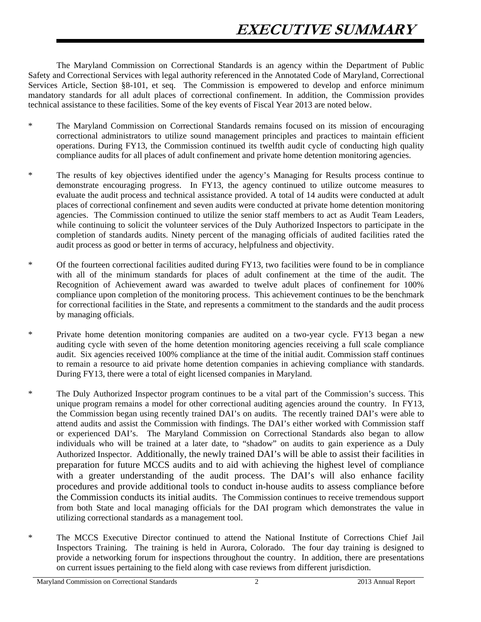The Maryland Commission on Correctional Standards is an agency within the Department of Public Safety and Correctional Services with legal authority referenced in the Annotated Code of Maryland, Correctional Services Article, Section §8-101, et seq. The Commission is empowered to develop and enforce minimum mandatory standards for all adult places of correctional confinement. In addition, the Commission provides technical assistance to these facilities. Some of the key events of Fiscal Year 2013 are noted below.

- \* The Maryland Commission on Correctional Standards remains focused on its mission of encouraging correctional administrators to utilize sound management principles and practices to maintain efficient operations. During FY13, the Commission continued its twelfth audit cycle of conducting high quality compliance audits for all places of adult confinement and private home detention monitoring agencies.
- \* The results of key objectives identified under the agency's Managing for Results process continue to demonstrate encouraging progress. In FY13, the agency continued to utilize outcome measures to evaluate the audit process and technical assistance provided. A total of 14 audits were conducted at adult places of correctional confinement and seven audits were conducted at private home detention monitoring agencies. The Commission continued to utilize the senior staff members to act as Audit Team Leaders, while continuing to solicit the volunteer services of the Duly Authorized Inspectors to participate in the completion of standards audits. Ninety percent of the managing officials of audited facilities rated the audit process as good or better in terms of accuracy, helpfulness and objectivity.
- \* Of the fourteen correctional facilities audited during FY13, two facilities were found to be in compliance with all of the minimum standards for places of adult confinement at the time of the audit. The Recognition of Achievement award was awarded to twelve adult places of confinement for 100% compliance upon completion of the monitoring process. This achievement continues to be the benchmark for correctional facilities in the State, and represents a commitment to the standards and the audit process by managing officials.
- \* Private home detention monitoring companies are audited on a two-year cycle. FY13 began a new auditing cycle with seven of the home detention monitoring agencies receiving a full scale compliance audit. Six agencies received 100% compliance at the time of the initial audit. Commission staff continues to remain a resource to aid private home detention companies in achieving compliance with standards. During FY13, there were a total of eight licensed companies in Maryland.
- \* The Duly Authorized Inspector program continues to be a vital part of the Commission's success. This unique program remains a model for other correctional auditing agencies around the country. In FY13, the Commission began using recently trained DAI's on audits. The recently trained DAI's were able to attend audits and assist the Commission with findings. The DAI's either worked with Commission staff or experienced DAI's. The Maryland Commission on Correctional Standards also began to allow individuals who will be trained at a later date, to "shadow" on audits to gain experience as a Duly Authorized Inspector. Additionally, the newly trained DAI's will be able to assist their facilities in preparation for future MCCS audits and to aid with achieving the highest level of compliance with a greater understanding of the audit process. The DAI's will also enhance facility procedures and provide additional tools to conduct in-house audits to assess compliance before the Commission conducts its initial audits. The Commission continues to receive tremendous support from both State and local managing officials for the DAI program which demonstrates the value in utilizing correctional standards as a management tool.
- \* The MCCS Executive Director continued to attend the National Institute of Corrections Chief Jail Inspectors Training. The training is held in Aurora, Colorado. The four day training is designed to provide a networking forum for inspections throughout the country. In addition, there are presentations on current issues pertaining to the field along with case reviews from different jurisdiction.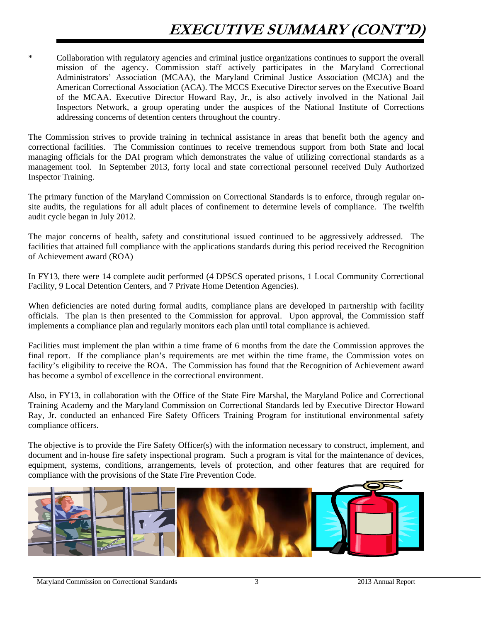# **EXECUTIVE SUMMARY (CONT'D)**

\* Collaboration with regulatory agencies and criminal justice organizations continues to support the overall mission of the agency. Commission staff actively participates in the Maryland Correctional Administrators' Association (MCAA), the Maryland Criminal Justice Association (MCJA) and the American Correctional Association (ACA). The MCCS Executive Director serves on the Executive Board of the MCAA. Executive Director Howard Ray, Jr., is also actively involved in the National Jail Inspectors Network, a group operating under the auspices of the National Institute of Corrections addressing concerns of detention centers throughout the country.

The Commission strives to provide training in technical assistance in areas that benefit both the agency and correctional facilities. The Commission continues to receive tremendous support from both State and local managing officials for the DAI program which demonstrates the value of utilizing correctional standards as a management tool. In September 2013, forty local and state correctional personnel received Duly Authorized Inspector Training.

The primary function of the Maryland Commission on Correctional Standards is to enforce, through regular onsite audits, the regulations for all adult places of confinement to determine levels of compliance. The twelfth audit cycle began in July 2012.

The major concerns of health, safety and constitutional issued continued to be aggressively addressed. The facilities that attained full compliance with the applications standards during this period received the Recognition of Achievement award (ROA)

In FY13, there were 14 complete audit performed (4 DPSCS operated prisons, 1 Local Community Correctional Facility, 9 Local Detention Centers, and 7 Private Home Detention Agencies).

When deficiencies are noted during formal audits, compliance plans are developed in partnership with facility officials. The plan is then presented to the Commission for approval. Upon approval, the Commission staff implements a compliance plan and regularly monitors each plan until total compliance is achieved.

Facilities must implement the plan within a time frame of 6 months from the date the Commission approves the final report. If the compliance plan's requirements are met within the time frame, the Commission votes on facility's eligibility to receive the ROA. The Commission has found that the Recognition of Achievement award has become a symbol of excellence in the correctional environment.

Also, in FY13, in collaboration with the Office of the State Fire Marshal, the Maryland Police and Correctional Training Academy and the Maryland Commission on Correctional Standards led by Executive Director Howard Ray, Jr. conducted an enhanced Fire Safety Officers Training Program for institutional environmental safety compliance officers.

The objective is to provide the Fire Safety Officer(s) with the information necessary to construct, implement, and document and in-house fire safety inspectional program. Such a program is vital for the maintenance of devices, equipment, systems, conditions, arrangements, levels of protection, and other features that are required for compliance with the provisions of the State Fire Prevention Code.

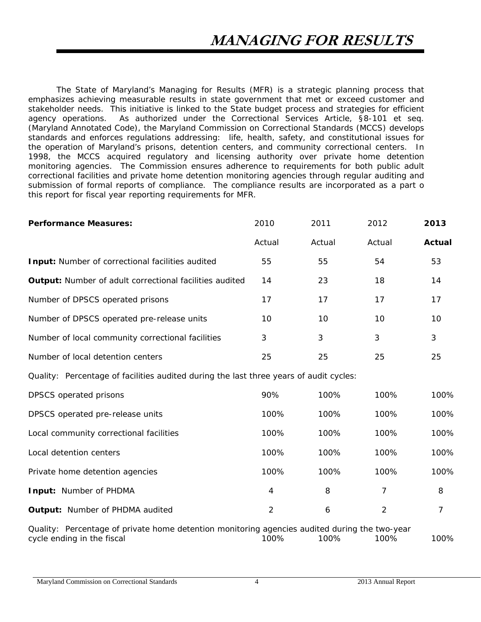The State of Maryland's Managing for Results (MFR) is a strategic planning process that emphasizes achieving measurable results in state government that met or exceed customer and stakeholder needs. This initiative is linked to the State budget process and strategies for efficient agency operations. As authorized under the Correctional Services Article, §8-101 et seq. (Maryland Annotated Code), the Maryland Commission on Correctional Standards (MCCS) develops standards and enforces regulations addressing: life, health, safety, and constitutional issues for the operation of Maryland's prisons, detention centers, and community correctional centers. In 1998, the MCCS acquired regulatory and licensing authority over private home detention monitoring agencies. The Commission ensures adherence to requirements for both public adult correctional facilities and private home detention monitoring agencies through regular auditing and submission of formal reports of compliance. The compliance results are incorporated as a part o this report for fiscal year reporting requirements for MFR.

| <b>Performance Measures:</b>                                                                                                | 2010           | 2011   | 2012           | 2013           |
|-----------------------------------------------------------------------------------------------------------------------------|----------------|--------|----------------|----------------|
|                                                                                                                             | Actual         | Actual | Actual         | <b>Actual</b>  |
| Input: Number of correctional facilities audited                                                                            | 55             | 55     | 54             | 53             |
| <b>Output:</b> Number of adult correctional facilities audited                                                              | 14             | 23     | 18             | 14             |
| Number of DPSCS operated prisons                                                                                            | 17             | 17     | 17             | 17             |
| Number of DPSCS operated pre-release units                                                                                  | 10             | 10     | 10             | 10             |
| Number of local community correctional facilities                                                                           | 3              | 3      | 3              | 3              |
| Number of local detention centers                                                                                           | 25             | 25     | 25             | 25             |
| Quality: Percentage of facilities audited during the last three years of audit cycles:                                      |                |        |                |                |
| DPSCS operated prisons                                                                                                      | 90%            | 100%   | 100%           | 100%           |
| DPSCS operated pre-release units                                                                                            | 100%           | 100%   | 100%           | 100%           |
| Local community correctional facilities                                                                                     | 100%           | 100%   | 100%           | 100%           |
| Local detention centers                                                                                                     | 100%           | 100%   | 100%           | 100%           |
| Private home detention agencies                                                                                             | 100%           | 100%   | 100%           | 100%           |
| Input: Number of PHDMA                                                                                                      | 4              | 8      | $\overline{7}$ | 8              |
| Output: Number of PHDMA audited                                                                                             | $\overline{2}$ | 6      | $\overline{2}$ | $\overline{7}$ |
| Quality: Percentage of private home detention monitoring agencies audited during the two-year<br>cycle ending in the fiscal | 100%           | 100%   | 100%           | 100%           |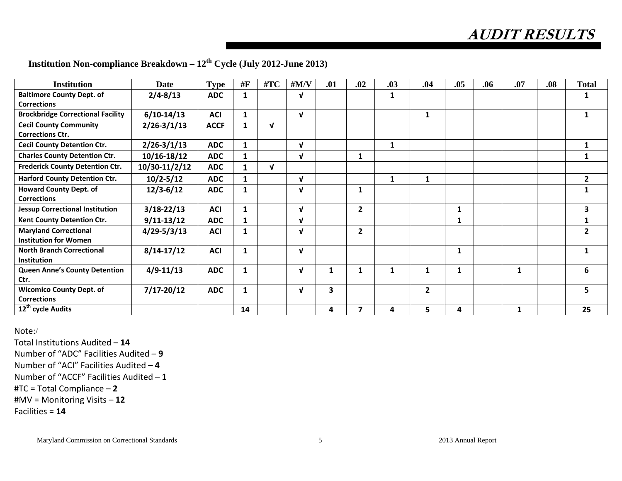**AUDIT RESULTS** 

| <b>Institution</b>                                     | <b>Date</b>     | <b>Type</b> | #F           | #TC          | #M/V         | .01 | .02          | .03          | .04          | .05 | .06 | .07 | .08 | <b>Total</b> |
|--------------------------------------------------------|-----------------|-------------|--------------|--------------|--------------|-----|--------------|--------------|--------------|-----|-----|-----|-----|--------------|
| <b>Baltimore County Dept. of</b>                       | $2/4 - 8/13$    | <b>ADC</b>  | $\mathbf{1}$ |              | $\mathbf{v}$ |     |              | 1            |              |     |     |     |     |              |
| <b>Corrections</b>                                     |                 |             |              |              |              |     |              |              |              |     |     |     |     |              |
| <b>Brockbridge Correctional Facility</b>               | $6/10-14/13$    | <b>ACI</b>  | $\mathbf{1}$ |              | V            |     |              |              | 1            |     |     |     |     | 1            |
| <b>Cecil County Community</b>                          | $2/26 - 3/1/13$ | <b>ACCF</b> | 1            | $\mathbf{v}$ |              |     |              |              |              |     |     |     |     |              |
| <b>Corrections Ctr.</b>                                |                 |             |              |              |              |     |              |              |              |     |     |     |     |              |
| <b>Cecil County Detention Ctr.</b>                     | $2/26 - 3/1/13$ | <b>ADC</b>  | $\mathbf{1}$ |              | V            |     |              | $\mathbf{1}$ |              |     |     |     |     | $\mathbf{1}$ |
| <b>Charles County Detention Ctr.</b>                   | $10/16 - 18/12$ | <b>ADC</b>  | $\mathbf{1}$ |              | V            |     | 1            |              |              |     |     |     |     | 1            |
| <b>Frederick County Detention Ctr.</b>                 | 10/30-11/2/12   | <b>ADC</b>  | 1            | $\mathbf{v}$ |              |     |              |              |              |     |     |     |     |              |
| <b>Harford County Detention Ctr.</b>                   | $10/2 - 5/12$   | <b>ADC</b>  | $\mathbf{1}$ |              | $\mathbf v$  |     |              | 1            | 1            |     |     |     |     | $\mathbf{2}$ |
| <b>Howard County Dept. of</b>                          | $12/3 - 6/12$   | <b>ADC</b>  | $\mathbf{1}$ |              | ν            |     | 1            |              |              |     |     |     |     | 1            |
| <b>Corrections</b>                                     |                 |             |              |              |              |     |              |              |              |     |     |     |     |              |
| <b>Jessup Correctional Institution</b>                 | $3/18 - 22/13$  | <b>ACI</b>  | $\mathbf{1}$ |              | V            |     | $\mathbf{2}$ |              |              | 1   |     |     |     | $\mathbf{3}$ |
| Kent County Detention Ctr.                             | $9/11-13/12$    | <b>ADC</b>  | $\mathbf{1}$ |              | J            |     |              |              |              | 1   |     |     |     | 1            |
| <b>Maryland Correctional</b>                           | $4/29 - 5/3/13$ | <b>ACI</b>  | 1            |              | J            |     | 2            |              |              |     |     |     |     | $\mathbf{2}$ |
| <b>Institution for Women</b>                           |                 |             |              |              |              |     |              |              |              |     |     |     |     |              |
| <b>North Branch Correctional</b><br><b>Institution</b> | $8/14-17/12$    | <b>ACI</b>  | $\mathbf{1}$ |              | ν            |     |              |              |              | 1   |     |     |     | 1            |
| <b>Queen Anne's County Detention</b>                   | $4/9 - 11/13$   | <b>ADC</b>  | 1            |              | ν            |     | 1            | 1            | 1            | 1   |     | 1   |     | 6            |
| Ctr.                                                   |                 |             |              |              |              |     |              |              |              |     |     |     |     |              |
| <b>Wicomico County Dept. of</b>                        | $7/17 - 20/12$  | <b>ADC</b>  | $\mathbf{1}$ |              | ν            | 3   |              |              | $\mathbf{2}$ |     |     |     |     | 5            |
| <b>Corrections</b>                                     |                 |             |              |              |              |     |              |              |              |     |     |     |     |              |
| 12 <sup>th</sup> cycle Audits                          |                 |             | 14           |              |              | 4   | 7            | 4            | 5            | 4   |     | 1   |     | 25           |

**Institution Non-compliance Breakdown – 12th Cycle (July 2012-June 2013)** 

Note:/

Total Institutions Audited – **14** Number of "ADC" Facilities Audited – **9** Number of "ACI" Facilities Audited – **4** Number of "ACCF" Facilities Audited – **1** #TC <sup>=</sup> Total Compliance – **2** #MV <sup>=</sup> Monitoring Visits – **12** Facilities <sup>=</sup> **14**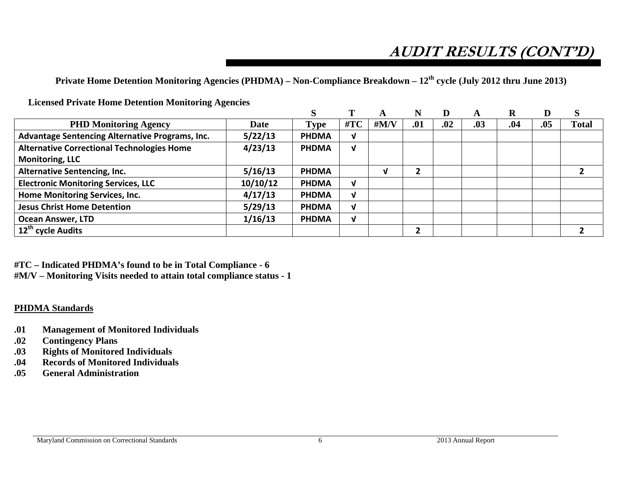# **AUDIT RESULTS (CONT'D)**

**Private Home Detention Monitoring Agencies (PHDMA) – Non-Compliance Breakdown – 12th cycle (July 2012 thru June 2013)** 

**Licensed Private Home Detention Monitoring Agencies** 

| <b>PHD Monitoring Agency</b>                      | <b>Date</b> | <b>Type</b>  | #TC          | # $M/V$ | .01 | .02 | .03 | .04 | .05 | <b>Total</b> |
|---------------------------------------------------|-------------|--------------|--------------|---------|-----|-----|-----|-----|-----|--------------|
| Advantage Sentencing Alternative Programs, Inc.   | 5/22/13     | <b>PHDMA</b> | V            |         |     |     |     |     |     |              |
| <b>Alternative Correctional Technologies Home</b> | 4/23/13     | <b>PHDMA</b> | $\mathbf{v}$ |         |     |     |     |     |     |              |
| <b>Monitoring, LLC</b>                            |             |              |              |         |     |     |     |     |     |              |
| <b>Alternative Sentencing, Inc.</b>               | 5/16/13     | <b>PHDMA</b> |              |         |     |     |     |     |     |              |
| <b>Electronic Monitoring Services, LLC</b>        | 10/10/12    | <b>PHDMA</b> | V            |         |     |     |     |     |     |              |
| Home Monitoring Services, Inc.                    | 4/17/13     | <b>PHDMA</b> | $\mathbf{V}$ |         |     |     |     |     |     |              |
| <b>Jesus Christ Home Detention</b>                | 5/29/13     | <b>PHDMA</b> | ν            |         |     |     |     |     |     |              |
| <b>Ocean Answer, LTD</b>                          | 1/16/13     | <b>PHDMA</b> | V            |         |     |     |     |     |     |              |
| $\overline{12^{th}}$ cycle Audits                 |             |              |              |         |     |     |     |     |     |              |

**#TC – Indicated PHDMA's found to be in Total Compliance - 6 #M/V – Monitoring Visits needed to attain total compliance status - 1** 

#### **PHDMA Standards**

- **.01 Management of Monitored Individuals**
- **.02 Contingency Plans**
- **.03 Rights of Monitored Individuals**
- **.04 Records of Monitored Individuals**
- **.05 General Administration**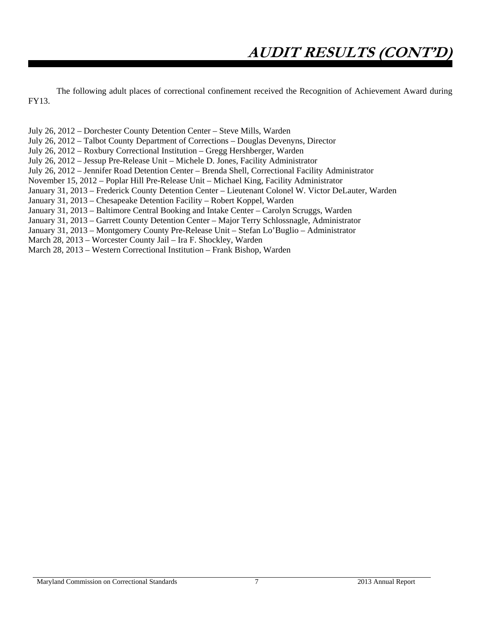The following adult places of correctional confinement received the Recognition of Achievement Award during FY13.

July 26, 2012 – Dorchester County Detention Center – Steve Mills, Warden July 26, 2012 – Talbot County Department of Corrections – Douglas Devenyns, Director July 26, 2012 – Roxbury Correctional Institution – Gregg Hershberger, Warden July 26, 2012 – Jessup Pre-Release Unit – Michele D. Jones, Facility Administrator July 26, 2012 – Jennifer Road Detention Center – Brenda Shell, Correctional Facility Administrator November 15, 2012 – Poplar Hill Pre-Release Unit – Michael King, Facility Administrator January 31, 2013 – Frederick County Detention Center – Lieutenant Colonel W. Victor DeLauter, Warden January 31, 2013 – Chesapeake Detention Facility – Robert Koppel, Warden January 31, 2013 – Baltimore Central Booking and Intake Center – Carolyn Scruggs, Warden January 31, 2013 – Garrett County Detention Center – Major Terry Schlossnagle, Administrator January 31, 2013 – Montgomery County Pre-Release Unit – Stefan Lo'Buglio – Administrator March 28, 2013 – Worcester County Jail – Ira F. Shockley, Warden March 28, 2013 – Western Correctional Institution – Frank Bishop, Warden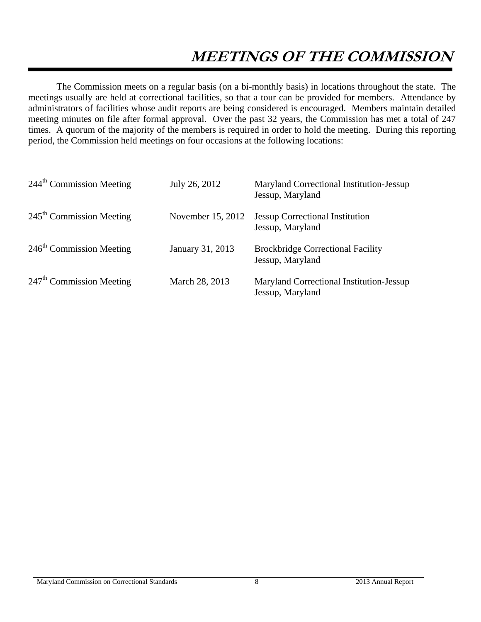# **MEETINGS OF THE COMMISSION**

The Commission meets on a regular basis (on a bi-monthly basis) in locations throughout the state. The meetings usually are held at correctional facilities, so that a tour can be provided for members. Attendance by administrators of facilities whose audit reports are being considered is encouraged. Members maintain detailed meeting minutes on file after formal approval. Over the past 32 years, the Commission has met a total of 247 times. A quorum of the majority of the members is required in order to hold the meeting. During this reporting period, the Commission held meetings on four occasions at the following locations:

| 244 <sup>th</sup> Commission Meeting | July 26, 2012     | Maryland Correctional Institution-Jessup<br>Jessup, Maryland |
|--------------------------------------|-------------------|--------------------------------------------------------------|
| $245th$ Commission Meeting           | November 15, 2012 | <b>Jessup Correctional Institution</b><br>Jessup, Maryland   |
| $246th$ Commission Meeting           | January 31, 2013  | <b>Brockbridge Correctional Facility</b><br>Jessup, Maryland |
| $247th$ Commission Meeting           | March 28, 2013    | Maryland Correctional Institution-Jessup<br>Jessup, Maryland |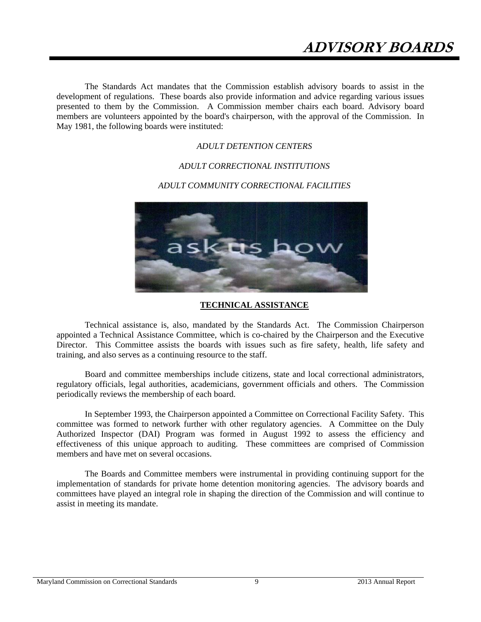The Standards Act mandates that the Commission establish advisory boards to assist in the development of regulations. These boards also provide information and advice regarding various issues presented to them by the Commission. A Commission member chairs each board. Advisory board members are volunteers appointed by the board's chairperson, with the approval of the Commission. In May 1981, the following boards were instituted:

#### *ADULT DETENTION CENTERS*

#### *ADULT CORRECTIONAL INSTITUTIONS*

#### *ADULT COMMUNITY CORRECTIONAL FACILITIES*



#### **TECHNICAL ASSISTANCE**

Technical assistance is, also, mandated by the Standards Act. The Commission Chairperson appointed a Technical Assistance Committee, which is co-chaired by the Chairperson and the Executive Director. This Committee assists the boards with issues such as fire safety, health, life safety and training, and also serves as a continuing resource to the staff.

Board and committee memberships include citizens, state and local correctional administrators, regulatory officials, legal authorities, academicians, government officials and others. The Commission periodically reviews the membership of each board.

In September 1993, the Chairperson appointed a Committee on Correctional Facility Safety. This committee was formed to network further with other regulatory agencies. A Committee on the Duly Authorized Inspector (DAI) Program was formed in August 1992 to assess the efficiency and effectiveness of this unique approach to auditing. These committees are comprised of Commission members and have met on several occasions.

The Boards and Committee members were instrumental in providing continuing support for the implementation of standards for private home detention monitoring agencies. The advisory boards and committees have played an integral role in shaping the direction of the Commission and will continue to assist in meeting its mandate.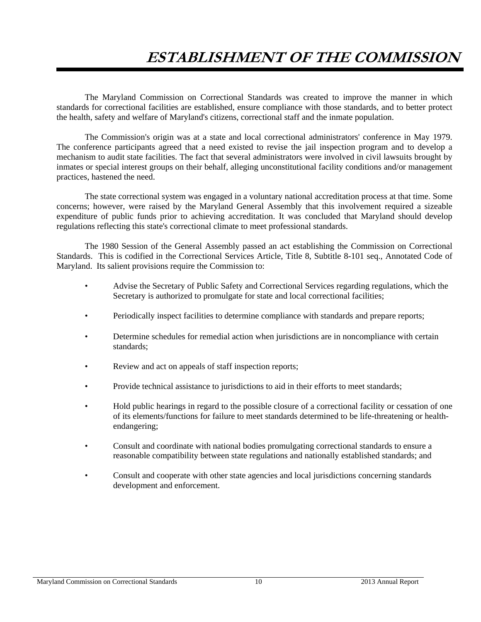## **ESTABLISHMENT OF THE COMMISSION**

The Maryland Commission on Correctional Standards was created to improve the manner in which standards for correctional facilities are established, ensure compliance with those standards, and to better protect the health, safety and welfare of Maryland's citizens, correctional staff and the inmate population.

The Commission's origin was at a state and local correctional administrators' conference in May 1979. The conference participants agreed that a need existed to revise the jail inspection program and to develop a mechanism to audit state facilities. The fact that several administrators were involved in civil lawsuits brought by inmates or special interest groups on their behalf, alleging unconstitutional facility conditions and/or management practices, hastened the need.

The state correctional system was engaged in a voluntary national accreditation process at that time. Some concerns; however, were raised by the Maryland General Assembly that this involvement required a sizeable expenditure of public funds prior to achieving accreditation. It was concluded that Maryland should develop regulations reflecting this state's correctional climate to meet professional standards.

The 1980 Session of the General Assembly passed an act establishing the Commission on Correctional Standards. This is codified in the Correctional Services Article, Title 8, Subtitle 8-101 seq., Annotated Code of Maryland. Its salient provisions require the Commission to:

- Advise the Secretary of Public Safety and Correctional Services regarding regulations, which the Secretary is authorized to promulgate for state and local correctional facilities;
- Periodically inspect facilities to determine compliance with standards and prepare reports;
- Determine schedules for remedial action when jurisdictions are in noncompliance with certain standards;
- Review and act on appeals of staff inspection reports;
- Provide technical assistance to jurisdictions to aid in their efforts to meet standards;
- Hold public hearings in regard to the possible closure of a correctional facility or cessation of one of its elements/functions for failure to meet standards determined to be life-threatening or health endangering;
- Consult and coordinate with national bodies promulgating correctional standards to ensure a reasonable compatibility between state regulations and nationally established standards; and
- Consult and cooperate with other state agencies and local jurisdictions concerning standards development and enforcement.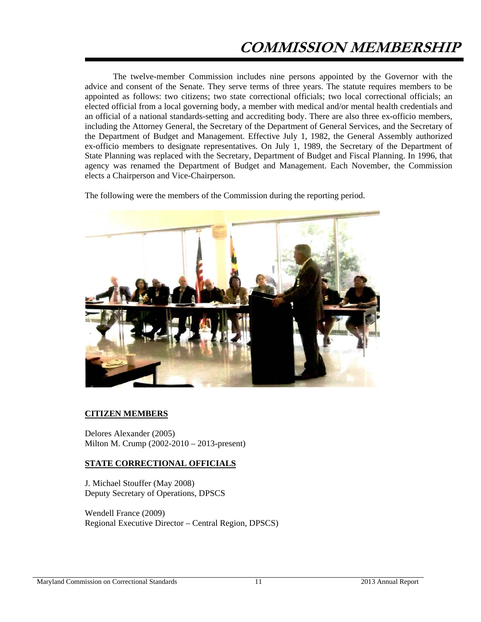The twelve-member Commission includes nine persons appointed by the Governor with the advice and consent of the Senate. They serve terms of three years. The statute requires members to be appointed as follows: two citizens; two state correctional officials; two local correctional officials; an elected official from a local governing body, a member with medical and/or mental health credentials and an official of a national standards-setting and accrediting body. There are also three ex-officio members, including the Attorney General, the Secretary of the Department of General Services, and the Secretary of the Department of Budget and Management. Effective July 1, 1982, the General Assembly authorized ex-officio members to designate representatives. On July 1, 1989, the Secretary of the Department of State Planning was replaced with the Secretary, Department of Budget and Fiscal Planning. In 1996, that agency was renamed the Department of Budget and Management. Each November, the Commission elects a Chairperson and Vice-Chairperson.

The following were the members of the Commission during the reporting period.



#### **CITIZEN MEMBERS**

Delores Alexander (2005) Milton M. Crump (2002-2010 – 2013-present)

#### **STATE CORRECTIONAL OFFICIALS**

J. Michael Stouffer (May 2008) Deputy Secretary of Operations, DPSCS

Wendell France (2009) Regional Executive Director – Central Region, DPSCS)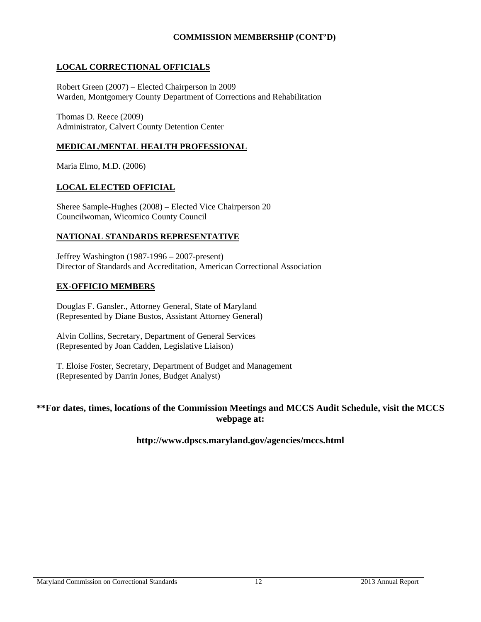### **COMMISSION MEMBERSHIP (CONT'D)**

### **LOCAL CORRECTIONAL OFFICIALS**

Robert Green (2007) – Elected Chairperson in 2009 Warden, Montgomery County Department of Corrections and Rehabilitation

Thomas D. Reece (2009) Administrator, Calvert County Detention Center

#### **MEDICAL/MENTAL HEALTH PROFESSIONAL**

Maria Elmo, M.D. (2006)

#### **LOCAL ELECTED OFFICIAL**

Sheree Sample-Hughes (2008) – Elected Vice Chairperson 20 Councilwoman, Wicomico County Council

#### **NATIONAL STANDARDS REPRESENTATIVE**

Jeffrey Washington (1987-1996 – 2007-present) Director of Standards and Accreditation, American Correctional Association

#### **EX-OFFICIO MEMBERS**

Douglas F. Gansler., Attorney General, State of Maryland (Represented by Diane Bustos, Assistant Attorney General)

Alvin Collins, Secretary, Department of General Services (Represented by Joan Cadden, Legislative Liaison)

T. Eloise Foster, Secretary, Department of Budget and Management (Represented by Darrin Jones, Budget Analyst)

#### **\*\*For dates, times, locations of the Commission Meetings and MCCS Audit Schedule, visit the MCCS webpage at:**

#### **http://www.dpscs.maryland.gov/agencies/mccs.html**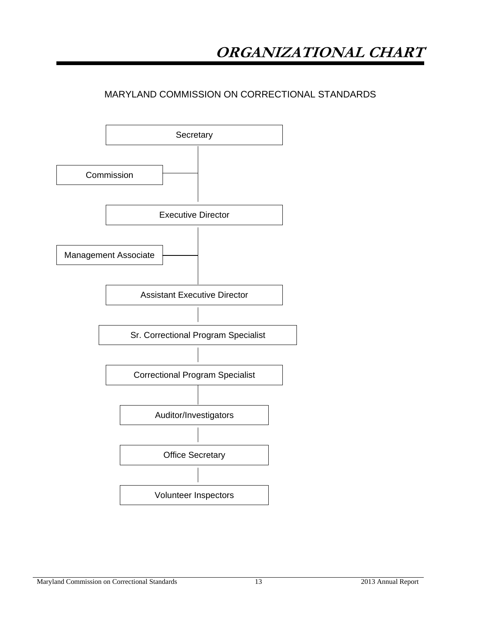## MARYLAND COMMISSION ON CORRECTIONAL STANDARDS

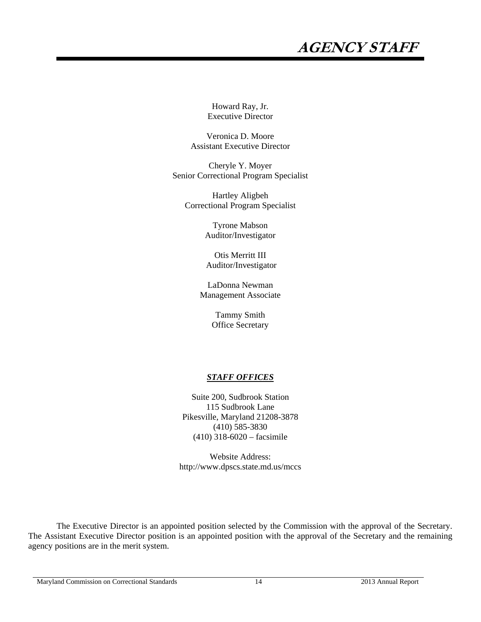# **AGENCY STAFF**

Howard Ray, Jr. Executive Director

Veronica D. Moore Assistant Executive Director

Cheryle Y. Moyer Senior Correctional Program Specialist

Hartley Aligbeh Correctional Program Specialist

> Tyrone Mabson Auditor/Investigator

Otis Merritt III Auditor/Investigator

LaDonna Newman Management Associate

> Tammy Smith Office Secretary

#### *STAFF OFFICES*

Suite 200, Sudbrook Station 115 Sudbrook Lane Pikesville, Maryland 21208-3878 (410) 585-3830 (410) 318-6020 – facsimile

Website Address: http://www.dpscs.state.md.us/mccs

The Executive Director is an appointed position selected by the Commission with the approval of the Secretary. The Assistant Executive Director position is an appointed position with the approval of the Secretary and the remaining agency positions are in the merit system.